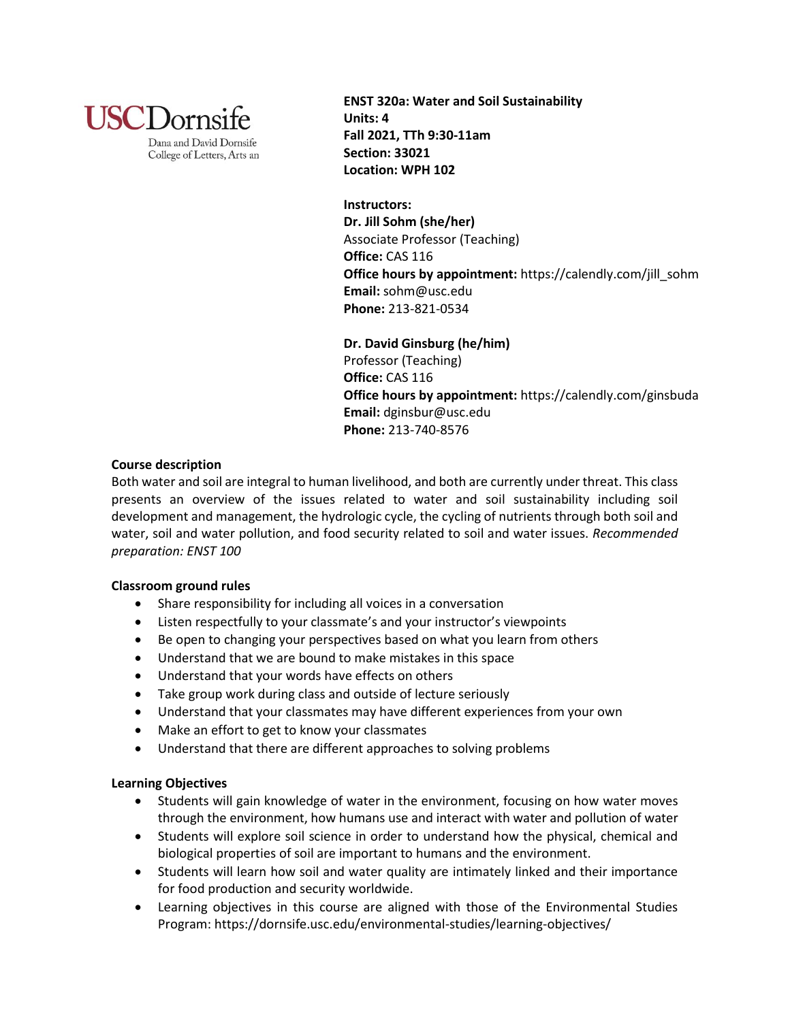

Dana and David Dornsife College of Letters, Arts an **ENST 320a: Water and Soil Sustainability Units: 4 Fall 2021, TTh 9:30-11am Section: 33021 Location: WPH 102**

**Instructors: Dr. Jill Sohm (she/her)** Associate Professor (Teaching) **Office:** CAS 116 **Office hours by appointment:** https://calendly.com/jill\_sohm **Email:** sohm@usc.edu **Phone:** 213-821-0534

**Dr. David Ginsburg (he/him)** Professor (Teaching) **Office:** CAS 116 **Office hours by appointment:** https://calendly.com/ginsbuda **Email:** dginsbur@usc.edu **Phone:** 213-740-8576

# **Course description**

Both water and soil are integral to human livelihood, and both are currently under threat. This class presents an overview of the issues related to water and soil sustainability including soil development and management, the hydrologic cycle, the cycling of nutrients through both soil and water, soil and water pollution, and food security related to soil and water issues. *Recommended preparation: ENST 100*

# **Classroom ground rules**

- Share responsibility for including all voices in a conversation
- Listen respectfully to your classmate's and your instructor's viewpoints
- Be open to changing your perspectives based on what you learn from others
- Understand that we are bound to make mistakes in this space
- Understand that your words have effects on others
- Take group work during class and outside of lecture seriously
- Understand that your classmates may have different experiences from your own
- Make an effort to get to know your classmates
- Understand that there are different approaches to solving problems

# **Learning Objectives**

- Students will gain knowledge of water in the environment, focusing on how water moves through the environment, how humans use and interact with water and pollution of water
- Students will explore soil science in order to understand how the physical, chemical and biological properties of soil are important to humans and the environment.
- Students will learn how soil and water quality are intimately linked and their importance for food production and security worldwide.
- Learning objectives in this course are aligned with those of the Environmental Studies Program: https://dornsife.usc.edu/environmental-studies/learning-objectives/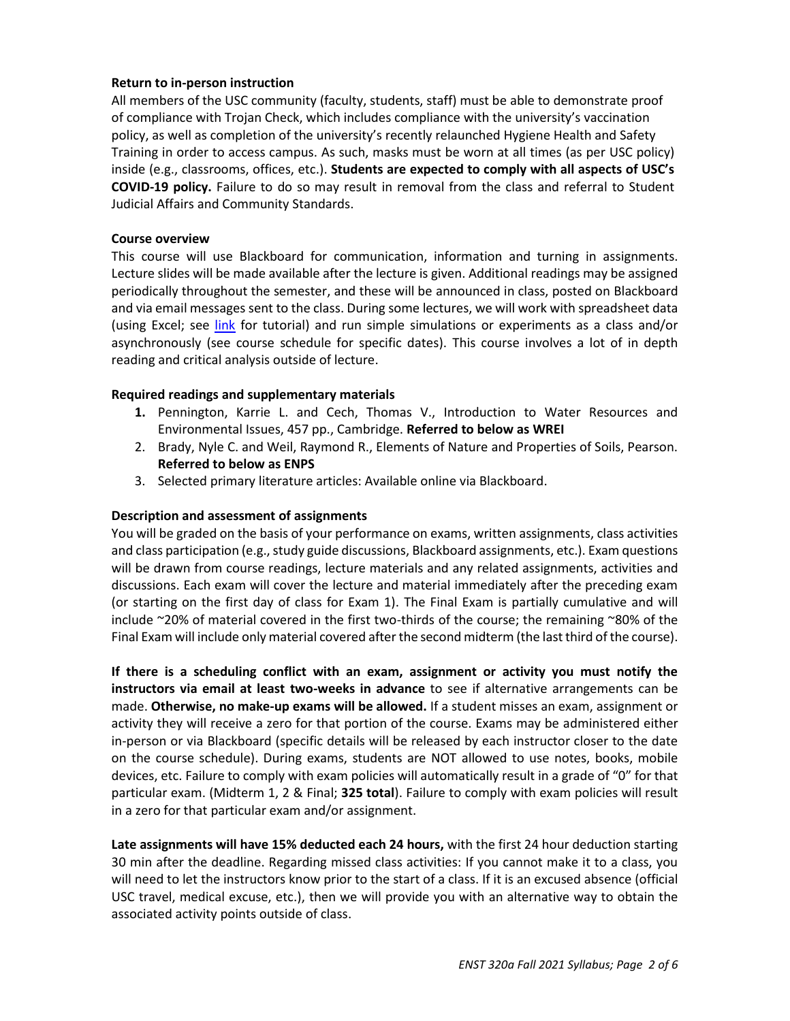## **Return to in-person instruction**

All members of the USC community (faculty, students, staff) must be able to demonstrate proof of compliance with Trojan Check, which includes compliance with the university's vaccination policy, as well as completion of the university's recently relaunched Hygiene Health and Safety Training in order to access campus. As such, masks must be worn at all times (as per USC policy) inside (e.g., classrooms, offices, etc.). **Students are expected to comply with all aspects of USC's COVID-19 policy.** Failure to do so may result in removal from the class and referral to Student Judicial Affairs and Community Standards.

### **Course overview**

This course will use Blackboard for communication, information and turning in assignments. Lecture slides will be made available after the lecture is given. Additional readings may be assigned periodically throughout the semester, and these will be announced in class, posted on Blackboard and via email messages sent to the class. During some lectures, we will work with spreadsheet data (using Excel; see [link](https://www.youtube.com/watch?v=k1VUZEVuDJ8) for tutorial) and run simple simulations or experiments as a class and/or asynchronously (see course schedule for specific dates). This course involves a lot of in depth reading and critical analysis outside of lecture.

## **Required readings and supplementary materials**

- **1.** Pennington, Karrie L. and Cech, Thomas V., Introduction to Water Resources and Environmental Issues, 457 pp., Cambridge. **Referred to below as WREI**
- 2. Brady, Nyle C. and Weil, Raymond R., Elements of Nature and Properties of Soils, Pearson. **Referred to below as ENPS**
- 3. Selected primary literature articles: Available online via Blackboard.

## **Description and assessment of assignments**

You will be graded on the basis of your performance on exams, written assignments, class activities and class participation (e.g., study guide discussions, Blackboard assignments, etc.). Exam questions will be drawn from course readings, lecture materials and any related assignments, activities and discussions. Each exam will cover the lecture and material immediately after the preceding exam (or starting on the first day of class for Exam 1). The Final Exam is partially cumulative and will include ~20% of material covered in the first two-thirds of the course; the remaining ~80% of the Final Exam will include only material covered after the second midterm (the last third of the course).

**If there is a scheduling conflict with an exam, assignment or activity you must notify the instructors via email at least two-weeks in advance** to see if alternative arrangements can be made. **Otherwise, no make-up exams will be allowed.** If a student misses an exam, assignment or activity they will receive a zero for that portion of the course. Exams may be administered either in-person or via Blackboard (specific details will be released by each instructor closer to the date on the course schedule). During exams, students are NOT allowed to use notes, books, mobile devices, etc. Failure to comply with exam policies will automatically result in a grade of "0" for that particular exam. (Midterm 1, 2 & Final; **325 total**). Failure to comply with exam policies will result in a zero for that particular exam and/or assignment.

**Late assignments will have 15% deducted each 24 hours,** with the first 24 hour deduction starting 30 min after the deadline. Regarding missed class activities: If you cannot make it to a class, you will need to let the instructors know prior to the start of a class. If it is an excused absence (official USC travel, medical excuse, etc.), then we will provide you with an alternative way to obtain the associated activity points outside of class.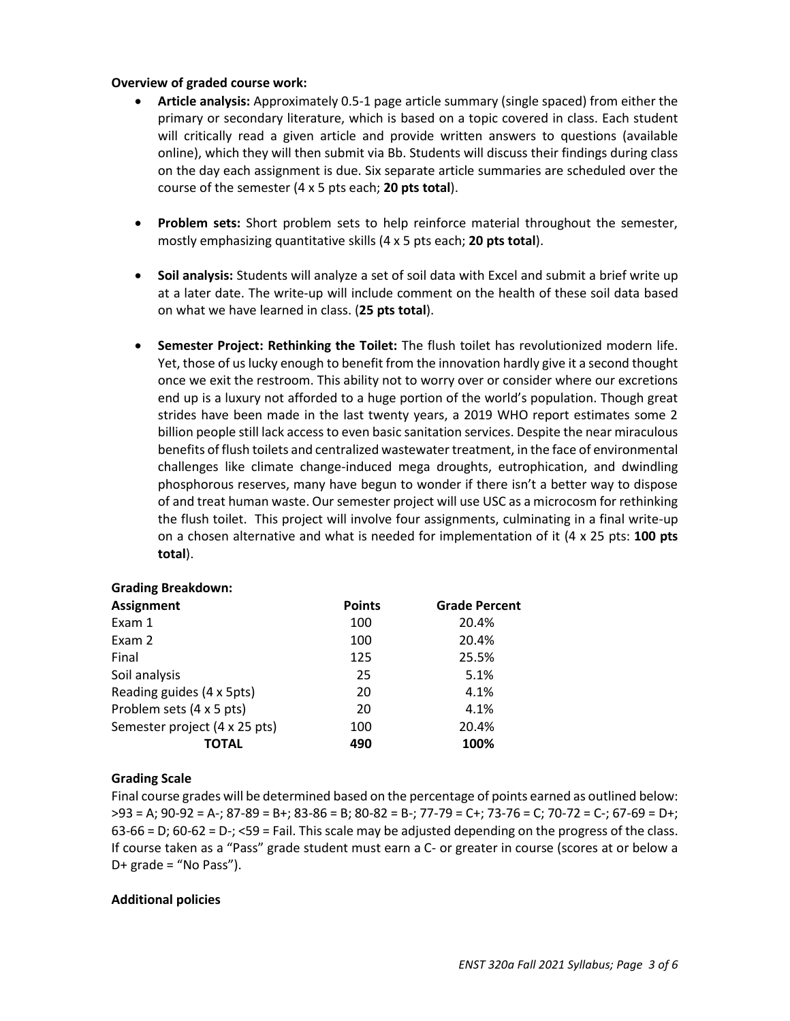## **Overview of graded course work:**

- **Article analysis:** Approximately 0.5-1 page article summary (single spaced) from either the primary or secondary literature, which is based on a topic covered in class. Each student will critically read a given article and provide written answers to questions (available online), which they will then submit via Bb. Students will discuss their findings during class on the day each assignment is due. Six separate article summaries are scheduled over the course of the semester (4 x 5 pts each; **20 pts total**).
- **Problem sets:** Short problem sets to help reinforce material throughout the semester, mostly emphasizing quantitative skills (4 x 5 pts each; **20 pts total**).
- **Soil analysis:** Students will analyze a set of soil data with Excel and submit a brief write up at a later date. The write-up will include comment on the health of these soil data based on what we have learned in class. (**25 pts total**).
- **Semester Project: Rethinking the Toilet:** The flush toilet has revolutionized modern life. Yet, those of us lucky enough to benefit from the innovation hardly give it a second thought once we exit the restroom. This ability not to worry over or consider where our excretions end up is a luxury not afforded to a huge portion of the world's population. Though great strides have been made in the last twenty years, a 2019 WHO report estimates some 2 billion people still lack access to even basic sanitation services. Despite the near miraculous benefits of flush toilets and centralized wastewater treatment, in the face of environmental challenges like climate change-induced mega droughts, eutrophication, and dwindling phosphorous reserves, many have begun to wonder if there isn't a better way to dispose of and treat human waste. Our semester project will use USC as a microcosm for rethinking the flush toilet. This project will involve four assignments, culminating in a final write-up on a chosen alternative and what is needed for implementation of it (4 x 25 pts: **100 pts total**).

| <b>Grading Breakdown:</b>     |               |                      |
|-------------------------------|---------------|----------------------|
| <b>Assignment</b>             | <b>Points</b> | <b>Grade Percent</b> |
| Exam 1                        | 100           | 20.4%                |
| Exam 2                        | 100           | 20.4%                |
| Final                         | 125           | 25.5%                |
| Soil analysis                 | 25            | 5.1%                 |
| Reading guides (4 x 5pts)     | 20            | 4.1%                 |
| Problem sets (4 x 5 pts)      | 20            | 4.1%                 |
| Semester project (4 x 25 pts) | 100           | 20.4%                |
| TOTAL                         | 490           | 100%                 |

# **Grading Scale**

Final course grades will be determined based on the percentage of points earned as outlined below: >93 = A; 90-92 = A-; 87-89 = B+; 83-86 = B; 80-82 = B-; 77-79 = C+; 73-76 = C; 70-72 = C-; 67-69 = D+; 63-66 = D; 60-62 = D-; <59 = Fail. This scale may be adjusted depending on the progress of the class. If course taken as a "Pass" grade student must earn a C- or greater in course (scores at or below a D+ grade = "No Pass").

### **Additional policies**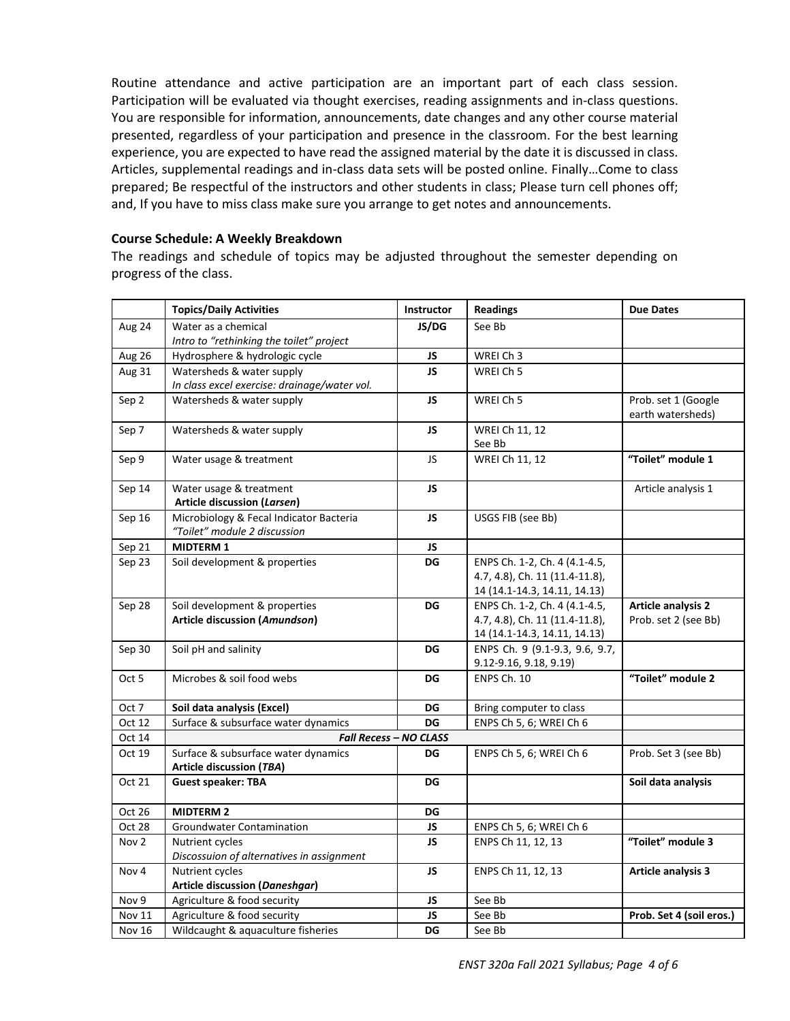Routine attendance and active participation are an important part of each class session. Participation will be evaluated via thought exercises, reading assignments and in-class questions. You are responsible for information, announcements, date changes and any other course material presented, regardless of your participation and presence in the classroom. For the best learning experience, you are expected to have read the assigned material by the date it is discussed in class. Articles, supplemental readings and in-class data sets will be posted online. Finally…Come to class prepared; Be respectful of the instructors and other students in class; Please turn cell phones off; and, If you have to miss class make sure you arrange to get notes and announcements.

# **Course Schedule: A Weekly Breakdown**

The readings and schedule of topics may be adjusted throughout the semester depending on progress of the class.

|               | <b>Topics/Daily Activities</b>               | Instructor             | <b>Readings</b>                | <b>Due Dates</b>          |
|---------------|----------------------------------------------|------------------------|--------------------------------|---------------------------|
| Aug 24        | Water as a chemical                          | JS/DG                  | See Bb                         |                           |
|               | Intro to "rethinking the toilet" project     |                        |                                |                           |
| Aug 26        | Hydrosphere & hydrologic cycle               | JS.                    | WREI Ch 3                      |                           |
| Aug 31        | Watersheds & water supply                    | <b>JS</b>              | WREI Ch <sub>5</sub>           |                           |
|               | In class excel exercise: drainage/water vol. |                        |                                |                           |
| Sep 2         | Watersheds & water supply                    | JS                     | WREI Ch 5                      | Prob. set 1 (Google       |
|               |                                              |                        |                                | earth watersheds)         |
| Sep 7         | Watersheds & water supply                    | JS                     | WREI Ch 11, 12                 |                           |
|               |                                              |                        | See Bb                         |                           |
| Sep 9         | Water usage & treatment                      | JS.                    | WREI Ch 11, 12                 | "Toilet" module 1         |
| Sep 14        | Water usage & treatment                      | JS                     |                                | Article analysis 1        |
|               | Article discussion (Larsen)                  |                        |                                |                           |
| Sep 16        | Microbiology & Fecal Indicator Bacteria      | JS                     | USGS FIB (see Bb)              |                           |
|               | "Toilet" module 2 discussion                 |                        |                                |                           |
| Sep 21        | <b>MIDTERM 1</b>                             | JS.                    |                                |                           |
| Sep 23        | Soil development & properties                | DG                     | ENPS Ch. 1-2, Ch. 4 (4.1-4.5,  |                           |
|               |                                              |                        | 4.7, 4.8), Ch. 11 (11.4-11.8), |                           |
|               |                                              |                        | 14 (14.1-14.3, 14.11, 14.13)   |                           |
| Sep 28        | Soil development & properties                | DG                     | ENPS Ch. 1-2, Ch. 4 (4.1-4.5,  | <b>Article analysis 2</b> |
|               | Article discussion (Amundson)                |                        | 4.7, 4.8), Ch. 11 (11.4-11.8), | Prob. set 2 (see Bb)      |
|               |                                              |                        | 14 (14.1-14.3, 14.11, 14.13)   |                           |
| Sep 30        | Soil pH and salinity                         | DG                     | ENPS Ch. 9 (9.1-9.3, 9.6, 9.7, |                           |
|               |                                              |                        | 9.12-9.16, 9.18, 9.19)         |                           |
| Oct 5         | Microbes & soil food webs                    | DG                     | ENPS Ch. 10                    | "Toilet" module 2         |
| Oct 7         | Soil data analysis (Excel)                   | DG                     | Bring computer to class        |                           |
| Oct 12        | Surface & subsurface water dynamics          | DG                     | ENPS Ch 5, 6; WREI Ch 6        |                           |
| Oct 14        |                                              | Fall Recess - NO CLASS |                                |                           |
| Oct 19        | Surface & subsurface water dynamics          | DG                     | ENPS Ch 5, 6; WREI Ch 6        | Prob. Set 3 (see Bb)      |
|               | Article discussion (TBA)                     |                        |                                |                           |
| Oct 21        | <b>Guest speaker: TBA</b>                    | DG                     |                                | Soil data analysis        |
| Oct 26        | <b>MIDTERM 2</b>                             | DG                     |                                |                           |
| Oct 28        | Groundwater Contamination                    | JS                     | ENPS Ch 5, 6; WREI Ch 6        |                           |
| Nov 2         | Nutrient cycles                              | <b>JS</b>              | ENPS Ch 11, 12, 13             | "Toilet" module 3         |
|               | Discossuion of alternatives in assignment    |                        |                                |                           |
| Nov 4         | Nutrient cycles                              | JS.                    | ENPS Ch 11, 12, 13             | <b>Article analysis 3</b> |
|               | <b>Article discussion (Daneshgar)</b>        |                        |                                |                           |
| Nov 9         | Agriculture & food security                  | JS                     | See Bb                         |                           |
| <b>Nov 11</b> | Agriculture & food security                  | JS                     | See Bb                         | Prob. Set 4 (soil eros.)  |
| Nov 16        | Wildcaught & aquaculture fisheries           | DG                     | See Bb                         |                           |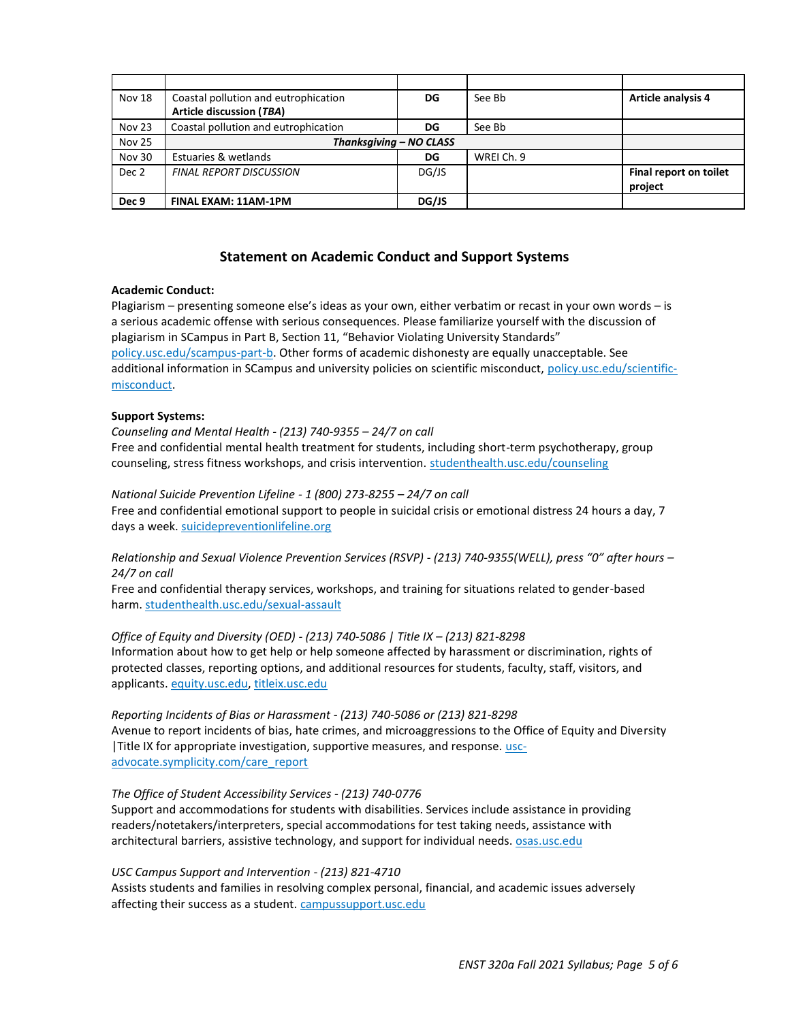| Nov 18           | Coastal pollution and eutrophication | DG    | See Bb     | <b>Article analysis 4</b> |
|------------------|--------------------------------------|-------|------------|---------------------------|
|                  | <b>Article discussion (TBA)</b>      |       |            |                           |
| Nov 23           | Coastal pollution and eutrophication | DG    | See Bb     |                           |
| <b>Nov 25</b>    | Thanksgiving - NO CLASS              |       |            |                           |
| Nov 30           | Estuaries & wetlands                 | DG    | WREI Ch. 9 |                           |
| Dec 2            | <b>FINAL REPORT DISCUSSION</b>       | DG/JS |            | Final report on toilet    |
|                  |                                      |       |            | project                   |
| Dec <sub>9</sub> | <b>FINAL EXAM: 11AM-1PM</b>          | DG/JS |            |                           |

## **Statement on Academic Conduct and Support Systems**

#### **Academic Conduct:**

Plagiarism – presenting someone else's ideas as your own, either verbatim or recast in your own words – is a serious academic offense with serious consequences. Please familiarize yourself with the discussion of plagiarism in SCampus in Part B, Section 11, "Behavior Violating University Standards" [policy.usc.edu/scampus-part-b.](https://policy.usc.edu/scampus-part-b/) Other forms of academic dishonesty are equally unacceptable. See additional information in SCampus and university policies on scientific misconduct, [policy.usc.edu/scientific](http://policy.usc.edu/scientific-misconduct)[misconduct.](http://policy.usc.edu/scientific-misconduct)

#### **Support Systems:**

### *Counseling and Mental Health - (213) 740-9355 – 24/7 on call* Free and confidential mental health treatment for students, including short-term psychotherapy, group counseling, stress fitness workshops, and crisis intervention. [studenthealth.usc.edu/counseling](https://studenthealth.usc.edu/counseling/)

#### *National Suicide Prevention Lifeline - 1 (800) 273-8255 – 24/7 on call*

Free and confidential emotional support to people in suicidal crisis or emotional distress 24 hours a day, 7 days a week[. suicidepreventionlifeline.org](http://www.suicidepreventionlifeline.org/)

*Relationship and Sexual Violence Prevention Services (RSVP) - (213) 740-9355(WELL), press "0" after hours – 24/7 on call*

Free and confidential therapy services, workshops, and training for situations related to gender-based harm. [studenthealth.usc.edu/sexual-assault](https://studenthealth.usc.edu/sexual-assault/)

*Office of Equity and Diversity (OED) - (213) 740-5086 | Title IX – (213) 821-8298* Information about how to get help or help someone affected by harassment or discrimination, rights of protected classes, reporting options, and additional resources for students, faculty, staff, visitors, and applicants[. equity.usc.edu,](https://equity.usc.edu/) [titleix.usc.edu](http://titleix.usc.edu/)

*Reporting Incidents of Bias or Harassment - (213) 740-5086 or (213) 821-8298* Avenue to report incidents of bias, hate crimes, and microaggressions to the Office of Equity and Diversity |Title IX for appropriate investigation, supportive measures, and response. [usc](https://usc-advocate.symplicity.com/care_report/)[advocate.symplicity.com/care\\_report](https://usc-advocate.symplicity.com/care_report/)

### *The Office of Student Accessibility Services - (213) 740-0776*

Support and accommodations for students with disabilities. Services include assistance in providing readers/notetakers/interpreters, special accommodations for test taking needs, assistance with architectural barriers, assistive technology, and support for individual needs. **OSAS.usc.edu** 

### *USC Campus Support and Intervention - (213) 821-4710*

Assists students and families in resolving complex personal, financial, and academic issues adversely affecting their success as a student. [campussupport.usc.edu](https://campussupport.usc.edu/)